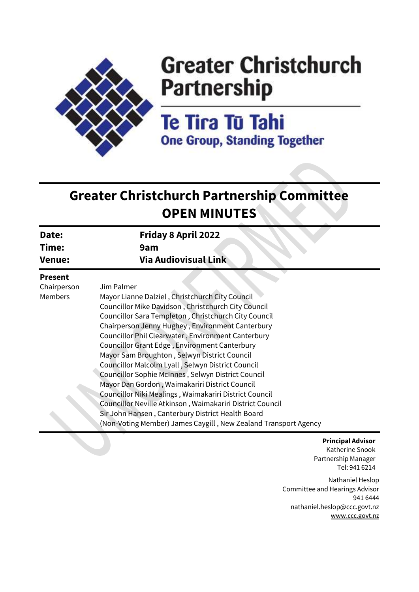

# **Greater Christchurch Partnership**

Te Tira Tū Tahi **One Group, Standing Together** 

## **Greater Christchurch Partnership Committee OPEN MINUTES**

| Date:<br>Time:<br>Venue: | Friday 8 April 2022<br>9am<br><b>Via Audiovisual Link</b> |
|--------------------------|-----------------------------------------------------------|
|                          |                                                           |
| <b>Duasant</b>           |                                                           |

#### **Present**

Members

Chairperson

Jim Palmer

Mayor Lianne Dalziel , Christchurch City Council Councillor Mike Davidson , Christchurch City Council Councillor Sara Templeton , Christchurch City Council Chairperson Jenny Hughey , Environment Canterbury Councillor Phil Clearwater , Environment Canterbury Councillor Grant Edge , Environment Canterbury Mayor Sam Broughton , Selwyn District Council Councillor Malcolm Lyall , Selwyn District Council Councillor Sophie McInnes , Selwyn District Council Mayor Dan Gordon , Waimakariri District Council Councillor Niki Mealings , Waimakariri District Council Councillor Neville Atkinson , Waimakariri District Council Sir John Hansen , Canterbury District Health Board (Non-Voting Member) James Caygill , New Zealand Transport Agency

> **Principal Advisor** Katherine Snook Partnership Manager Tel: 941 6214

Nathaniel Heslop Committee and Hearings Advisor 941 6444 nathaniel.heslop@ccc.govt.nz [www.ccc.govt.nz](http://www.ccc.govt.nz/)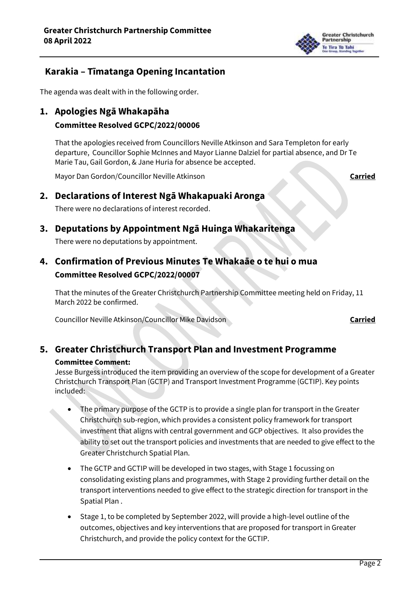

## **Karakia – Tīmatanga Opening Incantation**

The agenda was dealt with in the following order.

**1. Apologies Ngā Whakapāha** 

### **Committee Resolved GCPC/2022/00006**

That the apologies received from Councillors Neville Atkinson and Sara Templeton for early departure, Councillor Sophie McInnes and Mayor Lianne Dalziel for partial absence, and Dr Te Marie Tau, Gail Gordon, & Jane Huria for absence be accepted.

Mayor Dan Gordon/Councillor Neville Atkinson **Carried**

## **2. Declarations of Interest Ngā Whakapuaki Aronga**

There were no declarations of interest recorded.

## **3. Deputations by Appointment Ngā Huinga Whakaritenga**

There were no deputations by appointment.

## **4. Confirmation of Previous Minutes Te Whakaāe o te hui o mua Committee Resolved GCPC/2022/00007**

That the minutes of the Greater Christchurch Partnership Committee meeting held on Friday, 11 March 2022 be confirmed.

Councillor Neville Atkinson/Councillor Mike Davidson **Carried**

## **5. Greater Christchurch Transport Plan and Investment Programme**

#### **Committee Comment:**

Jesse Burgess introduced the item providing an overview of the scope for development of a Greater Christchurch Transport Plan (GCTP) and Transport Investment Programme (GCTIP). Key points included:

- The primary purpose of the GCTP is to provide a single plan for transport in the Greater Christchurch sub-region, which provides a consistent policy framework for transport investment that aligns with central government and GCP objectives. It also provides the ability to set out the transport policies and investments that are needed to give effect to the Greater Christchurch Spatial Plan.
- The GCTP and GCTIP will be developed in two stages, with Stage 1 focussing on consolidating existing plans and programmes, with Stage 2 providing further detail on the transport interventions needed to give effect to the strategic direction for transport in the Spatial Plan .
- Stage 1, to be completed by September 2022, will provide a high-level outline of the outcomes, objectives and key interventions that are proposed for transport in Greater Christchurch, and provide the policy context for the GCTIP.